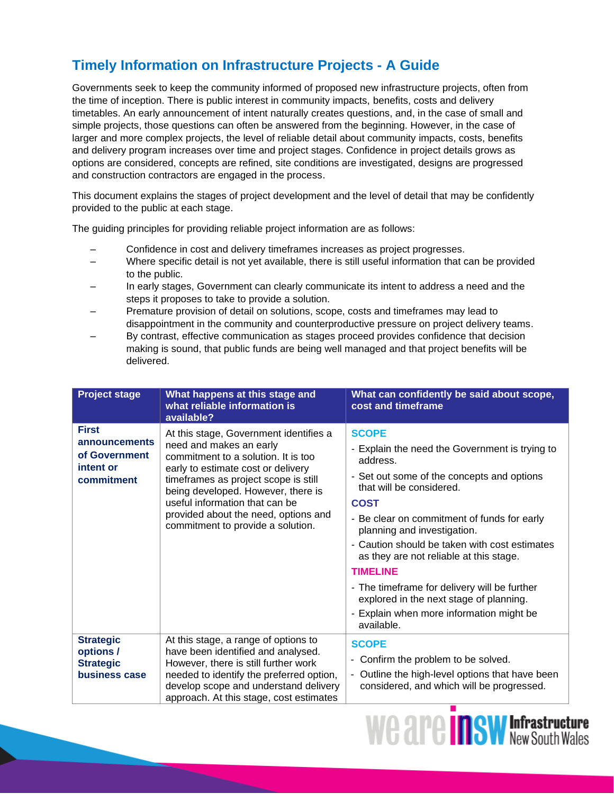## **Timely Information on Infrastructure Projects - A Guide**

Governments seek to keep the community informed of proposed new infrastructure projects, often from the time of inception. There is public interest in community impacts, benefits, costs and delivery timetables. An early announcement of intent naturally creates questions, and, in the case of small and simple projects, those questions can often be answered from the beginning. However, in the case of larger and more complex projects, the level of reliable detail about community impacts, costs, benefits and delivery program increases over time and project stages. Confidence in project details grows as options are considered, concepts are refined, site conditions are investigated, designs are progressed and construction contractors are engaged in the process.

This document explains the stages of project development and the level of detail that may be confidently provided to the public at each stage.

The guiding principles for providing reliable project information are as follows:

- Confidence in cost and delivery timeframes increases as project progresses.
- Where specific detail is not yet available, there is still useful information that can be provided to the public.
- In early stages, Government can clearly communicate its intent to address a need and the steps it proposes to take to provide a solution.
- Premature provision of detail on solutions, scope, costs and timeframes may lead to disappointment in the community and counterproductive pressure on project delivery teams.
- By contrast, effective communication as stages proceed provides confidence that decision making is sound, that public funds are being well managed and that project benefits will be delivered.

| <b>Project stage</b>                                                      | What happens at this stage and<br>what reliable information is<br>available?                                                                                                                                                                                                                                                                | What can confidently be said about scope,<br>cost and timeframe                                                                                                                                                                                                                                                                                                                                                                                                                                                       |
|---------------------------------------------------------------------------|---------------------------------------------------------------------------------------------------------------------------------------------------------------------------------------------------------------------------------------------------------------------------------------------------------------------------------------------|-----------------------------------------------------------------------------------------------------------------------------------------------------------------------------------------------------------------------------------------------------------------------------------------------------------------------------------------------------------------------------------------------------------------------------------------------------------------------------------------------------------------------|
| <b>First</b><br>announcements<br>of Government<br>intent or<br>commitment | At this stage, Government identifies a<br>need and makes an early<br>commitment to a solution. It is too<br>early to estimate cost or delivery<br>timeframes as project scope is still<br>being developed. However, there is<br>useful information that can be<br>provided about the need, options and<br>commitment to provide a solution. | <b>SCOPE</b><br>- Explain the need the Government is trying to<br>address.<br>- Set out some of the concepts and options<br>that will be considered.<br><b>COST</b><br>- Be clear on commitment of funds for early<br>planning and investigation.<br>- Caution should be taken with cost estimates<br>as they are not reliable at this stage.<br><b>TIMELINE</b><br>- The timeframe for delivery will be further<br>explored in the next stage of planning.<br>- Explain when more information might be<br>available. |
| <b>Strategic</b><br>options /<br><b>Strategic</b><br>business case        | At this stage, a range of options to<br>have been identified and analysed.<br>However, there is still further work<br>needed to identify the preferred option,<br>develop scope and understand delivery<br>approach. At this stage, cost estimates                                                                                          | <b>SCOPE</b><br>Confirm the problem to be solved.<br>۰<br>Outline the high-level options that have been<br>$\overline{\phantom{a}}$<br>considered, and which will be progressed.                                                                                                                                                                                                                                                                                                                                      |

**We are inswintantively**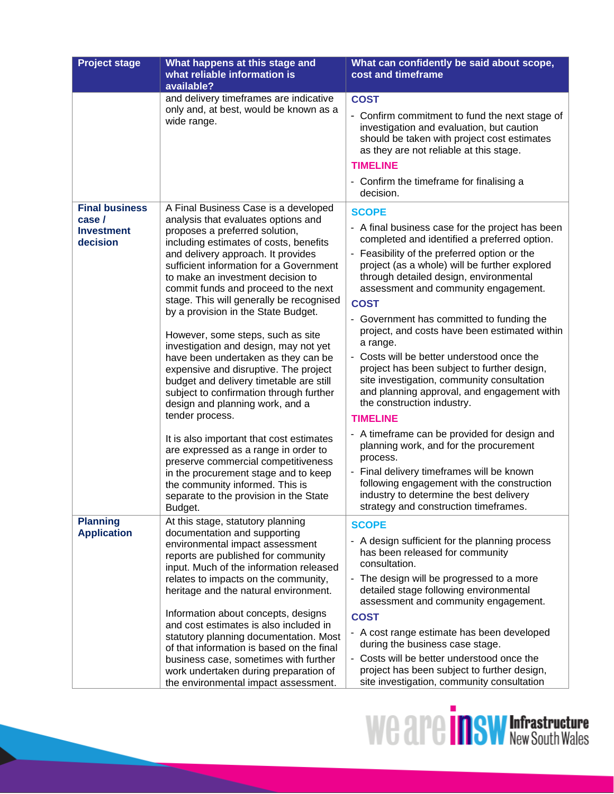| <b>Project stage</b>                                            | What happens at this stage and<br>what reliable information is<br>available?                                                                                                                                                                                                                                                                                                                                                                                                                                                                                                                                                                                                                                       | What can confidently be said about scope,<br>cost and timeframe                                                                                                                                                                                                                                                                                                                                                                                                                                                                                                                                                                                                        |
|-----------------------------------------------------------------|--------------------------------------------------------------------------------------------------------------------------------------------------------------------------------------------------------------------------------------------------------------------------------------------------------------------------------------------------------------------------------------------------------------------------------------------------------------------------------------------------------------------------------------------------------------------------------------------------------------------------------------------------------------------------------------------------------------------|------------------------------------------------------------------------------------------------------------------------------------------------------------------------------------------------------------------------------------------------------------------------------------------------------------------------------------------------------------------------------------------------------------------------------------------------------------------------------------------------------------------------------------------------------------------------------------------------------------------------------------------------------------------------|
|                                                                 | and delivery timeframes are indicative<br>only and, at best, would be known as a<br>wide range.                                                                                                                                                                                                                                                                                                                                                                                                                                                                                                                                                                                                                    | <b>COST</b><br>- Confirm commitment to fund the next stage of<br>investigation and evaluation, but caution<br>should be taken with project cost estimates<br>as they are not reliable at this stage.<br><b>TIMELINE</b><br>- Confirm the timeframe for finalising a<br>decision.                                                                                                                                                                                                                                                                                                                                                                                       |
| <b>Final business</b><br>case/<br><b>Investment</b><br>decision | A Final Business Case is a developed<br>analysis that evaluates options and<br>proposes a preferred solution,<br>including estimates of costs, benefits<br>and delivery approach. It provides<br>sufficient information for a Government<br>to make an investment decision to<br>commit funds and proceed to the next<br>stage. This will generally be recognised<br>by a provision in the State Budget.<br>However, some steps, such as site<br>investigation and design, may not yet<br>have been undertaken as they can be<br>expensive and disruptive. The project<br>budget and delivery timetable are still<br>subject to confirmation through further<br>design and planning work, and a<br>tender process. | <b>SCOPE</b><br>- A final business case for the project has been<br>completed and identified a preferred option.<br>- Feasibility of the preferred option or the<br>project (as a whole) will be further explored<br>through detailed design, environmental<br>assessment and community engagement.<br><b>COST</b><br>- Government has committed to funding the<br>project, and costs have been estimated within<br>a range.<br>- Costs will be better understood once the<br>project has been subject to further design,<br>site investigation, community consultation<br>and planning approval, and engagement with<br>the construction industry.<br><b>TIMELINE</b> |
|                                                                 | It is also important that cost estimates<br>are expressed as a range in order to<br>preserve commercial competitiveness<br>in the procurement stage and to keep<br>the community informed. This is<br>separate to the provision in the State<br>Budget.                                                                                                                                                                                                                                                                                                                                                                                                                                                            | - A timeframe can be provided for design and<br>planning work, and for the procurement<br>process.<br>- Final delivery timeframes will be known<br>following engagement with the construction<br>industry to determine the best delivery<br>strategy and construction timeframes.                                                                                                                                                                                                                                                                                                                                                                                      |
| <b>Planning</b><br><b>Application</b>                           | At this stage, statutory planning<br>documentation and supporting<br>environmental impact assessment<br>reports are published for community<br>input. Much of the information released<br>relates to impacts on the community,<br>heritage and the natural environment.<br>Information about concepts, designs<br>and cost estimates is also included in<br>statutory planning documentation. Most<br>of that information is based on the final<br>business case, sometimes with further<br>work undertaken during preparation of<br>the environmental impact assessment.                                                                                                                                          | <b>SCOPE</b><br>- A design sufficient for the planning process<br>has been released for community<br>consultation.<br>- The design will be progressed to a more<br>detailed stage following environmental<br>assessment and community engagement.<br><b>COST</b><br>- A cost range estimate has been developed<br>during the business case stage.<br>- Costs will be better understood once the<br>project has been subject to further design,<br>site investigation, community consultation                                                                                                                                                                           |

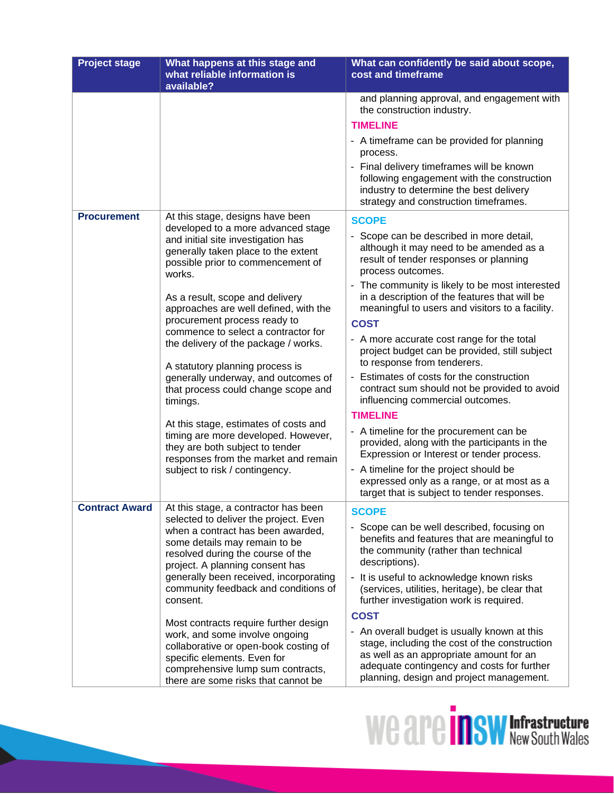| <b>Project stage</b>  | What happens at this stage and<br>what reliable information is                                                                                                                                                                                                                                                                                                                                                                                                                                                                                                                                                                                                                                                                        | What can confidently be said about scope,<br>cost and timeframe                                                                                                                                                                                                                                                                                                                                                                                                                                                                                                                                                                                                                                                                                                                                                                                                                                                                                                                                                                                                                                                                                                                                    |
|-----------------------|---------------------------------------------------------------------------------------------------------------------------------------------------------------------------------------------------------------------------------------------------------------------------------------------------------------------------------------------------------------------------------------------------------------------------------------------------------------------------------------------------------------------------------------------------------------------------------------------------------------------------------------------------------------------------------------------------------------------------------------|----------------------------------------------------------------------------------------------------------------------------------------------------------------------------------------------------------------------------------------------------------------------------------------------------------------------------------------------------------------------------------------------------------------------------------------------------------------------------------------------------------------------------------------------------------------------------------------------------------------------------------------------------------------------------------------------------------------------------------------------------------------------------------------------------------------------------------------------------------------------------------------------------------------------------------------------------------------------------------------------------------------------------------------------------------------------------------------------------------------------------------------------------------------------------------------------------|
| <b>Procurement</b>    | available?<br>At this stage, designs have been<br>developed to a more advanced stage<br>and initial site investigation has<br>generally taken place to the extent<br>possible prior to commencement of<br>works.<br>As a result, scope and delivery<br>approaches are well defined, with the<br>procurement process ready to<br>commence to select a contractor for<br>the delivery of the package / works.<br>A statutory planning process is<br>generally underway, and outcomes of<br>that process could change scope and<br>timings.<br>At this stage, estimates of costs and<br>timing are more developed. However,<br>they are both subject to tender<br>responses from the market and remain<br>subject to risk / contingency. | and planning approval, and engagement with<br>the construction industry.<br><b>TIMELINE</b><br>- A timeframe can be provided for planning<br>process.<br>- Final delivery timeframes will be known<br>following engagement with the construction<br>industry to determine the best delivery<br>strategy and construction timeframes.<br><b>SCOPE</b><br>- Scope can be described in more detail,<br>although it may need to be amended as a<br>result of tender responses or planning<br>process outcomes.<br>- The community is likely to be most interested<br>in a description of the features that will be<br>meaningful to users and visitors to a facility.<br><b>COST</b><br>- A more accurate cost range for the total<br>project budget can be provided, still subject<br>to response from tenderers.<br>- Estimates of costs for the construction<br>contract sum should not be provided to avoid<br>influencing commercial outcomes.<br><b>TIMELINE</b><br>- A timeline for the procurement can be<br>provided, along with the participants in the<br>Expression or Interest or tender process.<br>- A timeline for the project should be<br>expressed only as a range, or at most as a |
| <b>Contract Award</b> | At this stage, a contractor has been<br>selected to deliver the project. Even<br>when a contract has been awarded,<br>some details may remain to be<br>resolved during the course of the<br>project. A planning consent has<br>generally been received, incorporating<br>community feedback and conditions of<br>consent.<br>Most contracts require further design<br>work, and some involve ongoing                                                                                                                                                                                                                                                                                                                                  | target that is subject to tender responses.<br><b>SCOPE</b><br>- Scope can be well described, focusing on<br>benefits and features that are meaningful to<br>the community (rather than technical<br>descriptions).<br>- It is useful to acknowledge known risks<br>(services, utilities, heritage), be clear that<br>further investigation work is required.<br><b>COST</b><br>- An overall budget is usually known at this                                                                                                                                                                                                                                                                                                                                                                                                                                                                                                                                                                                                                                                                                                                                                                       |
|                       | collaborative or open-book costing of<br>specific elements. Even for<br>comprehensive lump sum contracts,<br>there are some risks that cannot be                                                                                                                                                                                                                                                                                                                                                                                                                                                                                                                                                                                      | stage, including the cost of the construction<br>as well as an appropriate amount for an<br>adequate contingency and costs for further<br>planning, design and project management.                                                                                                                                                                                                                                                                                                                                                                                                                                                                                                                                                                                                                                                                                                                                                                                                                                                                                                                                                                                                                 |